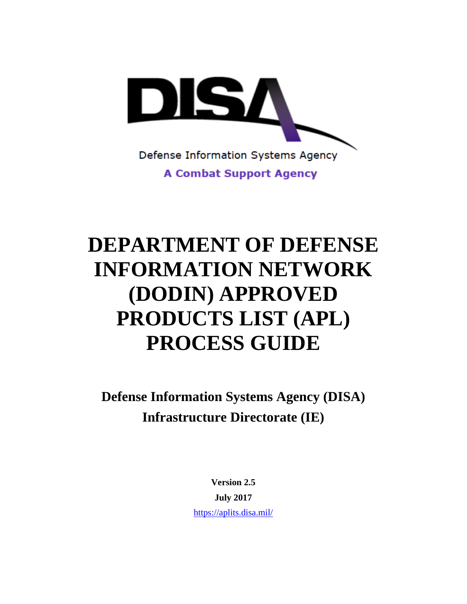

# **DEPARTMENT OF DEFENSE INFORMATION NETWORK (DODIN) APPROVED PRODUCTS LIST (APL) PROCESS GUIDE**

**Defense Information Systems Agency (DISA) Infrastructure Directorate (IE)**

> **Version 2.5 July 2017** <https://aplits.disa.mil/>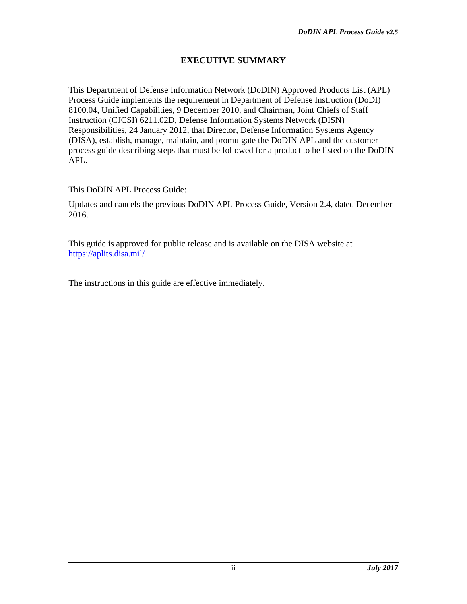#### **EXECUTIVE SUMMARY**

This Department of Defense Information Network (DoDIN) Approved Products List (APL) Process Guide implements the requirement in Department of Defense Instruction (DoDI) 8100.04, Unified Capabilities, 9 December 2010*,* and Chairman, Joint Chiefs of Staff Instruction (CJCSI) 6211.02D, Defense Information Systems Network (DISN) Responsibilities, 24 January 2012, that Director, Defense Information Systems Agency (DISA), establish, manage, maintain, and promulgate the DoDIN APL and the customer process guide describing steps that must be followed for a product to be listed on the DoDIN APL.

This DoDIN APL Process Guide:

Updates and cancels the previous DoDIN APL Process Guide, Version 2.4, dated December 2016.

This guide is approved for public release and is available on the DISA website at <https://aplits.disa.mil/>

The instructions in this guide are effective immediately.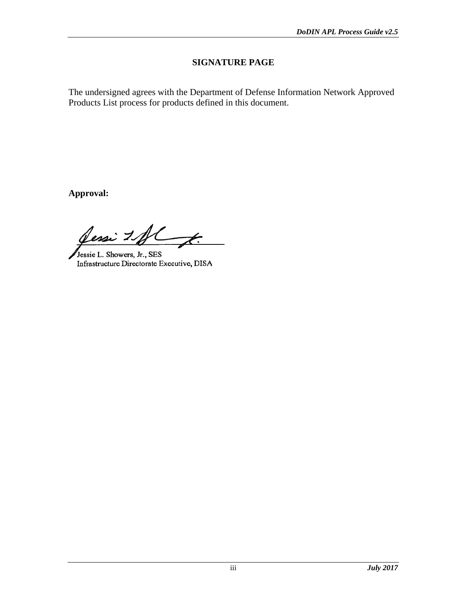## **SIGNATURE PAGE**

The undersigned agrees with the Department of Defense Information Network Approved Products List process for products defined in this document.

**Approval:**

Sessi 1 fl  $\overline{\mathscr{K}}$ 

Jessie L. Showers, Jr., SES Infrastructure Directorate Executive, DISA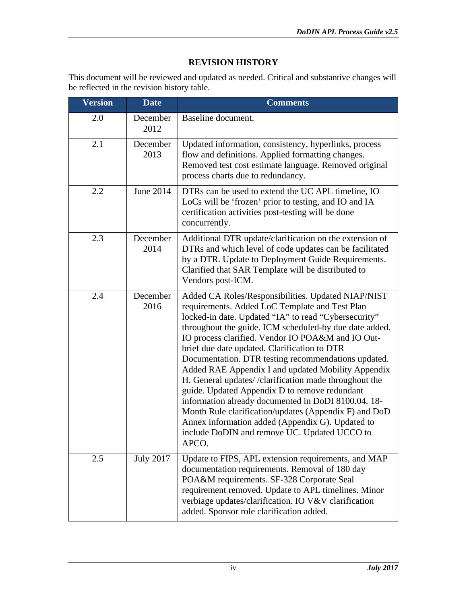## **REVISION HISTORY**

This document will be reviewed and updated as needed. Critical and substantive changes will be reflected in the revision history table.

| <b>Version</b> | <b>Date</b>      | <b>Comments</b>                                                                                                                                                                                                                                                                                                                                                                                                                                                                                                                                                                                                                                                                                                                                                                 |  |
|----------------|------------------|---------------------------------------------------------------------------------------------------------------------------------------------------------------------------------------------------------------------------------------------------------------------------------------------------------------------------------------------------------------------------------------------------------------------------------------------------------------------------------------------------------------------------------------------------------------------------------------------------------------------------------------------------------------------------------------------------------------------------------------------------------------------------------|--|
| 2.0            | December<br>2012 | Baseline document.                                                                                                                                                                                                                                                                                                                                                                                                                                                                                                                                                                                                                                                                                                                                                              |  |
| 2.1            | December<br>2013 | Updated information, consistency, hyperlinks, process<br>flow and definitions. Applied formatting changes.<br>Removed test cost estimate language. Removed original<br>process charts due to redundancy.                                                                                                                                                                                                                                                                                                                                                                                                                                                                                                                                                                        |  |
| 2.2            | June 2014        | DTRs can be used to extend the UC APL timeline, IO<br>LoCs will be 'frozen' prior to testing, and IO and IA<br>certification activities post-testing will be done<br>concurrently.                                                                                                                                                                                                                                                                                                                                                                                                                                                                                                                                                                                              |  |
| 2.3            | December<br>2014 | Additional DTR update/clarification on the extension of<br>DTRs and which level of code updates can be facilitated<br>by a DTR. Update to Deployment Guide Requirements.<br>Clarified that SAR Template will be distributed to<br>Vendors post-ICM.                                                                                                                                                                                                                                                                                                                                                                                                                                                                                                                             |  |
| 2.4            | December<br>2016 | Added CA Roles/Responsibilities. Updated NIAP/NIST<br>requirements. Added LoC Template and Test Plan<br>locked-in date. Updated "IA" to read "Cybersecurity"<br>throughout the guide. ICM scheduled-by due date added.<br>IO process clarified. Vendor IO POA&M and IO Out-<br>brief due date updated. Clarification to DTR<br>Documentation. DTR testing recommendations updated.<br>Added RAE Appendix I and updated Mobility Appendix<br>H. General updates//clarification made throughout the<br>guide. Updated Appendix D to remove redundant<br>information already documented in DoDI 8100.04. 18-<br>Month Rule clarification/updates (Appendix F) and DoD<br>Annex information added (Appendix G). Updated to<br>include DoDIN and remove UC. Updated UCCO to<br>APCO. |  |
| 2.5            | <b>July 2017</b> | Update to FIPS, APL extension requirements, and MAP<br>documentation requirements. Removal of 180 day<br>POA&M requirements. SF-328 Corporate Seal<br>requirement removed. Update to APL timelines. Minor<br>verbiage updates/clarification. IO V&V clarification<br>added. Sponsor role clarification added.                                                                                                                                                                                                                                                                                                                                                                                                                                                                   |  |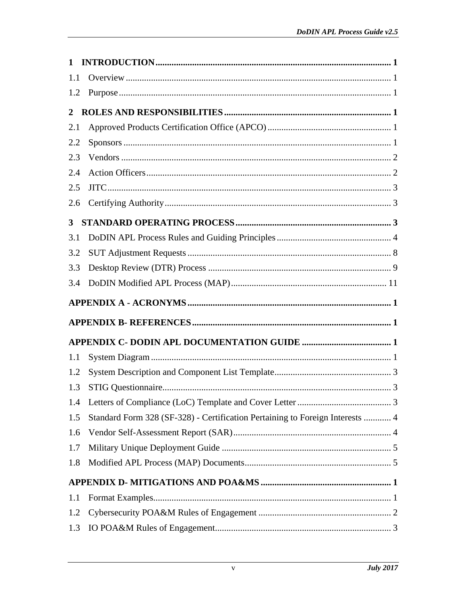| 1              | $\bf INTRODUCTION. 1$                                                         |  |
|----------------|-------------------------------------------------------------------------------|--|
| 1.1            |                                                                               |  |
| 1.2            |                                                                               |  |
| $\overline{2}$ |                                                                               |  |
| 2.1            |                                                                               |  |
| 2.2            |                                                                               |  |
| 2.3            |                                                                               |  |
| 2.4            |                                                                               |  |
| 2.5            |                                                                               |  |
| 2.6            |                                                                               |  |
| $3^{\circ}$    |                                                                               |  |
| 3.1            |                                                                               |  |
| 3.2            |                                                                               |  |
| 3.3            |                                                                               |  |
| 3.4            |                                                                               |  |
|                |                                                                               |  |
|                |                                                                               |  |
|                |                                                                               |  |
| 1.1            |                                                                               |  |
| 1.2            |                                                                               |  |
| 1.3            |                                                                               |  |
| 1.4            |                                                                               |  |
| 1.5            | Standard Form 328 (SF-328) - Certification Pertaining to Foreign Interests  4 |  |
| 1.6            |                                                                               |  |
| 1.7            |                                                                               |  |
| 1.8            |                                                                               |  |
|                |                                                                               |  |
| 1.1            |                                                                               |  |
| 1.2            |                                                                               |  |
| 1.3            |                                                                               |  |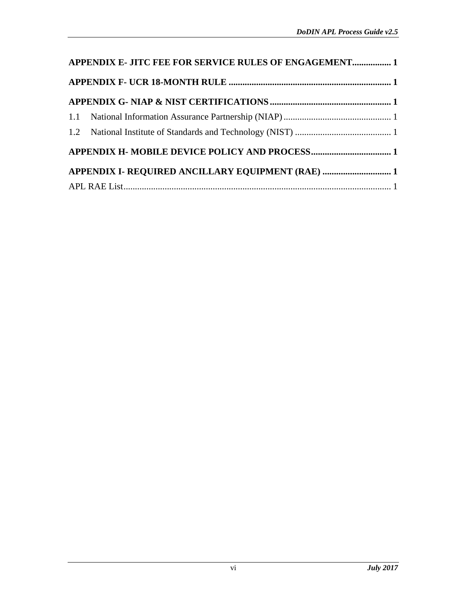| APPENDIX E- JITC FEE FOR SERVICE RULES OF ENGAGEMENT 1 |                                                   |  |  |  |
|--------------------------------------------------------|---------------------------------------------------|--|--|--|
|                                                        |                                                   |  |  |  |
|                                                        |                                                   |  |  |  |
|                                                        |                                                   |  |  |  |
|                                                        |                                                   |  |  |  |
|                                                        |                                                   |  |  |  |
|                                                        | APPENDIX I- REQUIRED ANCILLARY EQUIPMENT (RAE)  1 |  |  |  |
|                                                        |                                                   |  |  |  |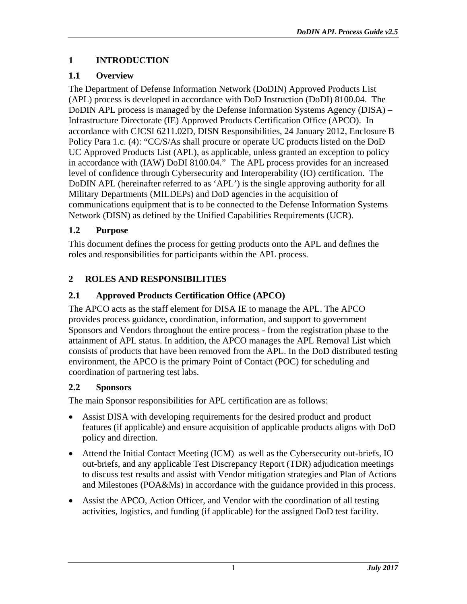## <span id="page-6-0"></span>**1 INTRODUCTION**

# <span id="page-6-1"></span>**1.1 Overview**

The Department of Defense Information Network (DoDIN) Approved Products List (APL) process is developed in accordance with DoD Instruction (DoDI) 8100.04. The DoDIN APL process is managed by the Defense Information Systems Agency (DISA) – Infrastructure Directorate (IE) Approved Products Certification Office (APCO). In accordance with CJCSI 6211.02D, DISN Responsibilities, 24 January 2012, Enclosure B Policy Para 1.c. (4): "CC/S/As shall procure or operate UC products listed on the DoD UC Approved Products List (APL), as applicable, unless granted an exception to policy in accordance with (IAW) DoDI 8100.04." The APL process provides for an increased level of confidence through Cybersecurity and Interoperability (IO) certification. The DoDIN APL (hereinafter referred to as 'APL') is the single approving authority for all Military Departments (MILDEPs) and DoD agencies in the acquisition of communications equipment that is to be connected to the Defense Information Systems Network (DISN) as defined by the Unified Capabilities Requirements (UCR).

# <span id="page-6-2"></span>**1.2 Purpose**

This document defines the process for getting products onto the APL and defines the roles and responsibilities for participants within the APL process.

# <span id="page-6-3"></span>**2 ROLES AND RESPONSIBILITIES**

# <span id="page-6-4"></span>**2.1 Approved Products Certification Office (APCO)**

The APCO acts as the staff element for DISA IE to manage the APL. The APCO provides process guidance, coordination, information, and support to government Sponsors and Vendors throughout the entire process - from the registration phase to the attainment of APL status. In addition, the APCO manages the APL Removal List which consists of products that have been removed from the APL. In the DoD distributed testing environment, the APCO is the primary Point of Contact (POC) for scheduling and coordination of partnering test labs.

## <span id="page-6-5"></span>**2.2 Sponsors**

The main Sponsor responsibilities for APL certification are as follows:

- Assist DISA with developing requirements for the desired product and product features (if applicable) and ensure acquisition of applicable products aligns with DoD policy and direction.
- Attend the Initial Contact Meeting (ICM) as well as the Cybersecurity out-briefs, IO out-briefs, and any applicable Test Discrepancy Report (TDR) adjudication meetings to discuss test results and assist with Vendor mitigation strategies and Plan of Actions and Milestones (POA&Ms) in accordance with the guidance provided in this process.
- Assist the APCO, Action Officer, and Vendor with the coordination of all testing activities, logistics, and funding (if applicable) for the assigned DoD test facility.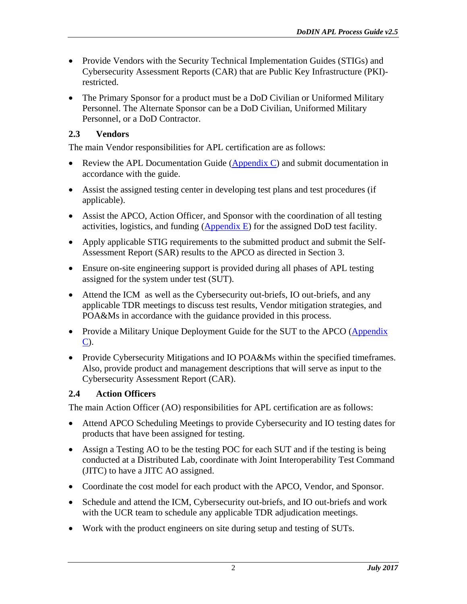- Provide Vendors with the Security Technical Implementation Guides (STIGs) and Cybersecurity Assessment Reports (CAR) that are Public Key Infrastructure (PKI) restricted.
- The Primary Sponsor for a product must be a DoD Civilian or Uniformed Military Personnel. The Alternate Sponsor can be a DoD Civilian, Uniformed Military Personnel, or a DoD Contractor.

## <span id="page-7-0"></span>**2.3 Vendors**

The main Vendor responsibilities for APL certification are as follows:

- Review the APL Documentation Guide  $(Appendix C)$  and submit documentation in accordance with the guide.
- Assist the assigned testing center in developing test plans and test procedures (if applicable).
- Assist the APCO, Action Officer, and Sponsor with the coordination of all testing activities, logistics, and funding  $(\underline{Appendix E})$  for the assigned DoD test facility.
- Apply applicable STIG requirements to the submitted product and submit the Self-Assessment Report (SAR) results to the APCO as directed in Section 3.
- Ensure on-site engineering support is provided during all phases of APL testing assigned for the system under test (SUT).
- Attend the ICM as well as the Cybersecurity out-briefs, IO out-briefs, and any applicable TDR meetings to discuss test results, Vendor mitigation strategies, and POA&Ms in accordance with the guidance provided in this process.
- Provide a Military Unique Deployment Guide for the SUT to the APCO (Appendix [C\)](#page-21-0).
- Provide Cybersecurity Mitigations and IO POA&Ms within the specified timeframes. Also, provide product and management descriptions that will serve as input to the Cybersecurity Assessment Report (CAR).

## <span id="page-7-1"></span>**2.4 Action Officers**

The main Action Officer (AO) responsibilities for APL certification are as follows:

- Attend APCO Scheduling Meetings to provide Cybersecurity and IO testing dates for products that have been assigned for testing.
- Assign a Testing AO to be the testing POC for each SUT and if the testing is being conducted at a Distributed Lab, coordinate with Joint Interoperability Test Command (JITC) to have a JITC AO assigned.
- Coordinate the cost model for each product with the APCO, Vendor, and Sponsor.
- Schedule and attend the ICM, Cybersecurity out-briefs, and IO out-briefs and work with the UCR team to schedule any applicable TDR adjudication meetings.
- Work with the product engineers on site during setup and testing of SUTs.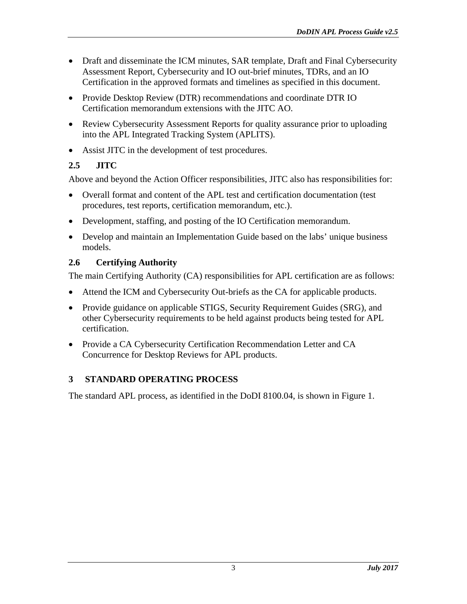- Draft and disseminate the ICM minutes, SAR template, Draft and Final Cybersecurity Assessment Report, Cybersecurity and IO out-brief minutes, TDRs, and an IO Certification in the approved formats and timelines as specified in this document.
- Provide Desktop Review (DTR) recommendations and coordinate DTR IO Certification memorandum extensions with the JITC AO.
- Review Cybersecurity Assessment Reports for quality assurance prior to uploading into the APL Integrated Tracking System (APLITS).
- Assist JITC in the development of test procedures.

# <span id="page-8-0"></span>**2.5 JITC**

Above and beyond the Action Officer responsibilities, JITC also has responsibilities for:

- Overall format and content of the APL test and certification documentation (test procedures, test reports, certification memorandum, etc.).
- Development, staffing, and posting of the IO Certification memorandum.
- Develop and maintain an Implementation Guide based on the labs' unique business models.

# <span id="page-8-1"></span>**2.6 Certifying Authority**

The main Certifying Authority (CA) responsibilities for APL certification are as follows:

- Attend the ICM and Cybersecurity Out-briefs as the CA for applicable products.
- Provide guidance on applicable STIGS, Security Requirement Guides (SRG), and other Cybersecurity requirements to be held against products being tested for APL certification.
- Provide a CA Cybersecurity Certification Recommendation Letter and CA Concurrence for Desktop Reviews for APL products.

# <span id="page-8-2"></span>**3 STANDARD OPERATING PROCESS**

The standard APL process, as identified in the DoDI 8100.04, is shown in [Figure 1.](#page-9-1)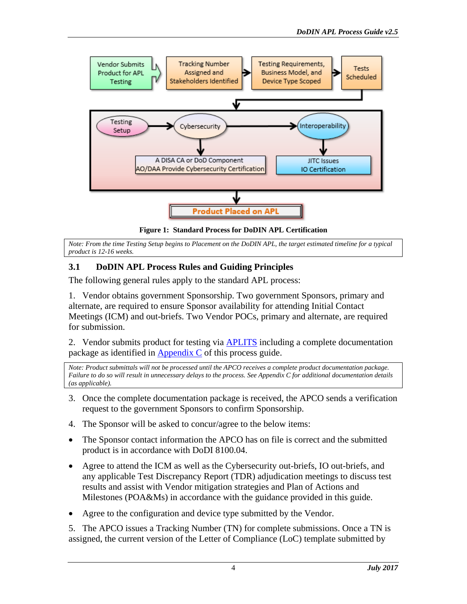

**Figure 1: Standard Process for DoDIN APL Certification**

<span id="page-9-1"></span>*Note: From the time Testing Setup begins to Placement on the DoDIN APL, the target estimated timeline for a typical product is 12-16 weeks.*

## <span id="page-9-0"></span>**3.1 DoDIN APL Process Rules and Guiding Principles**

The following general rules apply to the standard APL process:

1. Vendor obtains government Sponsorship. Two government Sponsors, primary and alternate, are required to ensure Sponsor availability for attending Initial Contact Meetings (ICM) and out-briefs. Two Vendor POCs, primary and alternate, are required for submission.

2. Vendor submits product for testing via [APLITS](https://aplits.disa.mil/) including a complete documentation package as identified in [Appendix C](#page-21-0) of this process guide.

*Note: Product submittals will not be processed until the APCO receives a complete product documentation package. Failure to do so will result in unnecessary delays to the process. See Appendix C for additional documentation details (as applicable).*

- 3. Once the complete documentation package is received, the APCO sends a verification request to the government Sponsors to confirm Sponsorship.
- 4. The Sponsor will be asked to concur/agree to the below items:
- The Sponsor contact information the APCO has on file is correct and the submitted product is in accordance with DoDI 8100.04.
- Agree to attend the ICM as well as the Cybersecurity out-briefs, IO out-briefs, and any applicable Test Discrepancy Report (TDR) adjudication meetings to discuss test results and assist with Vendor mitigation strategies and Plan of Actions and Milestones (POA&Ms) in accordance with the guidance provided in this guide.
- Agree to the configuration and device type submitted by the Vendor.

5. The APCO issues a Tracking Number (TN) for complete submissions. Once a TN is assigned, the current version of the Letter of Compliance (LoC) template submitted by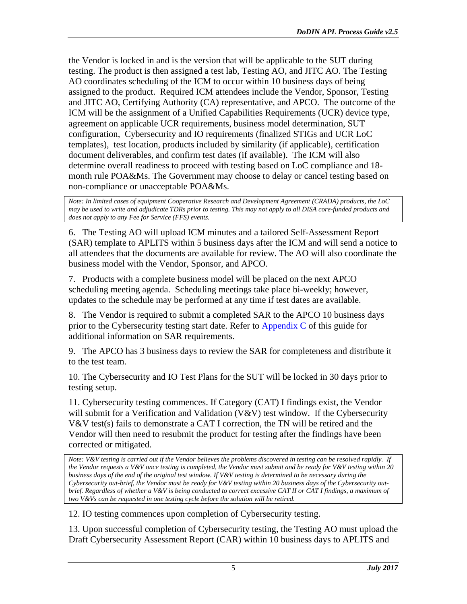the Vendor is locked in and is the version that will be applicable to the SUT during testing. The product is then assigned a test lab, Testing AO, and JITC AO. The Testing AO coordinates scheduling of the ICM to occur within 10 business days of being assigned to the product. Required ICM attendees include the Vendor, Sponsor, Testing and JITC AO, Certifying Authority (CA) representative, and APCO. The outcome of the ICM will be the assignment of a Unified Capabilities Requirements (UCR) device type, agreement on applicable UCR requirements, business model determination, SUT configuration, Cybersecurity and IO requirements (finalized STIGs and UCR LoC templates), test location, products included by similarity (if applicable), certification document deliverables, and confirm test dates (if available). The ICM will also determine overall readiness to proceed with testing based on LoC compliance and 18 month rule POA&Ms. The Government may choose to delay or cancel testing based on non-compliance or unacceptable POA&Ms.

*Note: In limited cases of equipment Cooperative Research and Development Agreement (CRADA) products, the LoC*  may be used to write and adjudicate TDRs prior to testing. This may not apply to all DISA core-funded products and *does not apply to any Fee for Service (FFS) events.*

6. The Testing AO will upload ICM minutes and a tailored Self-Assessment Report (SAR) template to APLITS within 5 business days after the ICM and will send a notice to all attendees that the documents are available for review. The AO will also coordinate the business model with the Vendor, Sponsor, and APCO.

7. Products with a complete business model will be placed on the next APCO scheduling meeting agenda. Scheduling meetings take place bi-weekly; however, updates to the schedule may be performed at any time if test dates are available.

8. The Vendor is required to submit a completed SAR to the APCO 10 business days prior to the Cybersecurity testing start date. Refer to [Appendix C](#page-21-0) of this guide for additional information on SAR requirements.

9. The APCO has 3 business days to review the SAR for completeness and distribute it to the test team.

10. The Cybersecurity and IO Test Plans for the SUT will be locked in 30 days prior to testing setup.

11. Cybersecurity testing commences. If Category (CAT) I findings exist, the Vendor will submit for a Verification and Validation (V&V) test window. If the Cybersecurity V&V test(s) fails to demonstrate a CAT I correction, the TN will be retired and the Vendor will then need to resubmit the product for testing after the findings have been corrected or mitigated.

*Note: V&V testing is carried out if the Vendor believes the problems discovered in testing can be resolved rapidly. If the Vendor requests a V&V once testing is completed, the Vendor must submit and be ready for V&V testing within 20 business days of the end of the original test window. If V&V testing is determined to be necessary during the Cybersecurity out-brief, the Vendor must be ready for V&V testing within 20 business days of the Cybersecurity outbrief. Regardless of whether a V&V is being conducted to correct excessive CAT II or CAT I findings, a maximum of two V&Vs can be requested in one testing cycle before the solution will be retired.*

12. IO testing commences upon completion of Cybersecurity testing.

13. Upon successful completion of Cybersecurity testing, the Testing AO must upload the Draft Cybersecurity Assessment Report (CAR) within 10 business days to APLITS and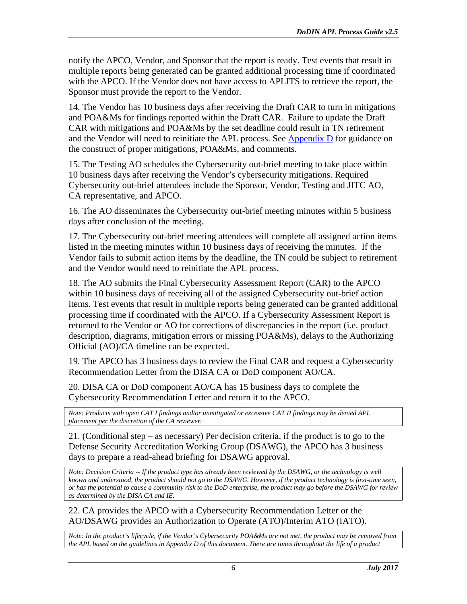notify the APCO, Vendor, and Sponsor that the report is ready. Test events that result in multiple reports being generated can be granted additional processing time if coordinated with the APCO. If the Vendor does not have access to APLITS to retrieve the report, the Sponsor must provide the report to the Vendor.

14. The Vendor has 10 business days after receiving the Draft CAR to turn in mitigations and POA&Ms for findings reported within the Draft CAR. Failure to update the Draft CAR with mitigations and POA&Ms by the set deadline could result in TN retirement and the Vendor will need to reinitiate the APL process. See [Appendix D](#page-26-0) for guidance on the construct of proper mitigations, POA&Ms, and comments.

15. The Testing AO schedules the Cybersecurity out-brief meeting to take place within 10 business days after receiving the Vendor's cybersecurity mitigations. Required Cybersecurity out-brief attendees include the Sponsor, Vendor, Testing and JITC AO, CA representative, and APCO.

16. The AO disseminates the Cybersecurity out-brief meeting minutes within 5 business days after conclusion of the meeting.

17. The Cybersecurity out-brief meeting attendees will complete all assigned action items listed in the meeting minutes within 10 business days of receiving the minutes. If the Vendor fails to submit action items by the deadline, the TN could be subject to retirement and the Vendor would need to reinitiate the APL process.

18. The AO submits the Final Cybersecurity Assessment Report (CAR) to the APCO within 10 business days of receiving all of the assigned Cybersecurity out-brief action items. Test events that result in multiple reports being generated can be granted additional processing time if coordinated with the APCO. If a Cybersecurity Assessment Report is returned to the Vendor or AO for corrections of discrepancies in the report (i.e. product description, diagrams, mitigation errors or missing POA&Ms), delays to the Authorizing Official (AO)/CA timeline can be expected.

19. The APCO has 3 business days to review the Final CAR and request a Cybersecurity Recommendation Letter from the DISA CA or DoD component AO/CA.

20. DISA CA or DoD component AO/CA has 15 business days to complete the Cybersecurity Recommendation Letter and return it to the APCO.

*Note: Products with open CAT I findings and/or unmitigated or excessive CAT II findings may be denied APL placement per the discretion of the CA reviewer.*

21. (Conditional step – as necessary) Per decision criteria, if the product is to go to the Defense Security Accreditation Working Group (DSAWG), the APCO has 3 business days to prepare a read-ahead briefing for DSAWG approval.

*Note: Decision Criteria -- If the product type has already been reviewed by the DSAWG, or the technology is well known and understood, the product should not go to the DSAWG. However, if the product technology is first-time seen, or has the potential to cause a community risk to the DoD enterprise, the product may go before the DSAWG for review as determined by the DISA CA and IE.*

22. CA provides the APCO with a Cybersecurity Recommendation Letter or the AO/DSAWG provides an Authorization to Operate (ATO)/Interim ATO (IATO).

*Note: In the product's lifecycle, if the Vendor's Cybersecurity POA&Ms are not met, the product may be removed from the APL based on the guidelines in Appendix D of this document. There are times throughout the life of a product*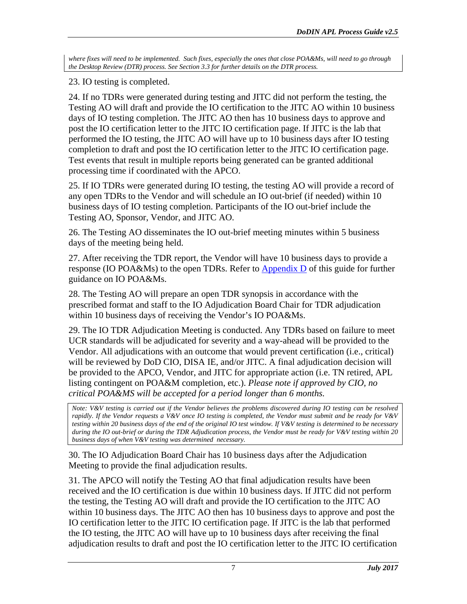*where fixes will need to be implemented. Such fixes, especially the ones that close POA&Ms, will need to go through the Desktop Review (DTR) process. See Section 3.3 for further details on the DTR process.* 

23. IO testing is completed.

24. If no TDRs were generated during testing and JITC did not perform the testing, the Testing AO will draft and provide the IO certification to the JITC AO within 10 business days of IO testing completion. The JITC AO then has 10 business days to approve and post the IO certification letter to the JITC IO certification page. If JITC is the lab that performed the IO testing, the JITC AO will have up to 10 business days after IO testing completion to draft and post the IO certification letter to the JITC IO certification page. Test events that result in multiple reports being generated can be granted additional processing time if coordinated with the APCO.

25. If IO TDRs were generated during IO testing, the testing AO will provide a record of any open TDRs to the Vendor and will schedule an IO out-brief (if needed) within 10 business days of IO testing completion. Participants of the IO out-brief include the Testing AO, Sponsor, Vendor, and JITC AO.

26. The Testing AO disseminates the IO out-brief meeting minutes within 5 business days of the meeting being held.

27. After receiving the TDR report, the Vendor will have 10 business days to provide a response (IO POA&Ms) to the open TDRs. Refer to [Appendix D](#page-26-0) of this guide for further guidance on IO POA&Ms.

28. The Testing AO will prepare an open TDR synopsis in accordance with the prescribed format and staff to the IO Adjudication Board Chair for TDR adjudication within 10 business days of receiving the Vendor's IO POA&Ms.

29. The IO TDR Adjudication Meeting is conducted. Any TDRs based on failure to meet UCR standards will be adjudicated for severity and a way-ahead will be provided to the Vendor. All adjudications with an outcome that would prevent certification (i.e., critical) will be reviewed by DoD CIO, DISA IE, and/or JITC. A final adjudication decision will be provided to the APCO, Vendor, and JITC for appropriate action (i.e. TN retired, APL listing contingent on POA&M completion, etc.). *Please note if approved by CIO, no critical POA&MS will be accepted for a period longer than 6 months.*

*Note: V&V testing is carried out if the Vendor believes the problems discovered during IO testing can be resolved rapidly. If the Vendor requests a V&V once IO testing is completed, the Vendor must submit and be ready for V&V testing within 20 business days of the end of the original IO test window. If V&V testing is determined to be necessary during the IO out-brief or during the TDR Adjudication process, the Vendor must be ready for V&V testing within 20 business days of when V&V testing was determined necessary.* 

30. The IO Adjudication Board Chair has 10 business days after the Adjudication Meeting to provide the final adjudication results.

31. The APCO will notify the Testing AO that final adjudication results have been received and the IO certification is due within 10 business days. If JITC did not perform the testing, the Testing AO will draft and provide the IO certification to the JITC AO within 10 business days. The JITC AO then has 10 business days to approve and post the IO certification letter to the JITC IO certification page. If JITC is the lab that performed the IO testing, the JITC AO will have up to 10 business days after receiving the final adjudication results to draft and post the IO certification letter to the JITC IO certification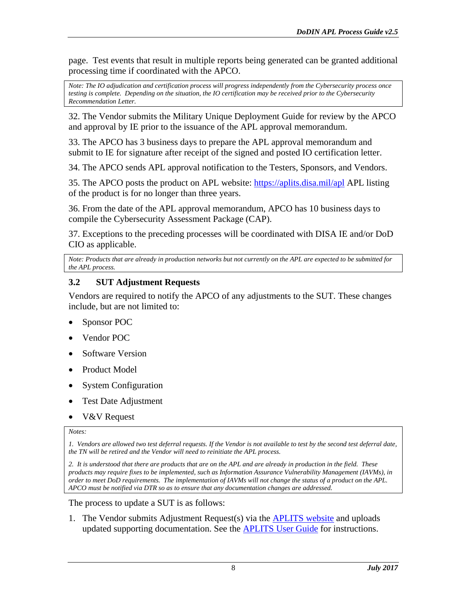page. Test events that result in multiple reports being generated can be granted additional processing time if coordinated with the APCO.

*Note: The IO adjudication and certification process will progress independently from the Cybersecurity process once testing is complete. Depending on the situation, the IO certification may be received prior to the Cybersecurity Recommendation Letter.*

32. The Vendor submits the Military Unique Deployment Guide for review by the APCO and approval by IE prior to the issuance of the APL approval memorandum.

33. The APCO has 3 business days to prepare the APL approval memorandum and submit to IE for signature after receipt of the signed and posted IO certification letter.

34. The APCO sends APL approval notification to the Testers, Sponsors, and Vendors.

35. The APCO posts the product on APL website:<https://aplits.disa.mil/apl> APL listing of the product is for no longer than three years.

36. From the date of the APL approval memorandum, APCO has 10 business days to compile the Cybersecurity Assessment Package (CAP).

37. Exceptions to the preceding processes will be coordinated with DISA IE and/or DoD CIO as applicable.

*Note: Products that are already in production networks but not currently on the APL are expected to be submitted for the APL process.*

#### <span id="page-13-0"></span>**3.2 SUT Adjustment Requests**

Vendors are required to notify the APCO of any adjustments to the SUT. These changes include, but are not limited to:

- Sponsor POC
- Vendor POC
- Software Version
- Product Model
- System Configuration
- Test Date Adjustment
- V&V Request

#### *Notes:*

*1. Vendors are allowed two test deferral requests. If the Vendor is not available to test by the second test deferral date, the TN will be retired and the Vendor will need to reinitiate the APL process.*

*2. It is understood that there are products that are on the APL and are already in production in the field. These products may require fixes to be implemented, such as Information Assurance Vulnerability Management (IAVMs), in order to meet DoD requirements. The implementation of IAVMs will not change the status of a product on the APL. APCO must be notified via DTR so as to ensure that any documentation changes are addressed.*

The process to update a SUT is as follows:

1. The Vendor submits Adjustment Request(s) via the [APLITS](https://aplits.disa.mil/) website and uploads updated supporting documentation. See the [APLITS User Guide](https://aplits.disa.mil/docs/aplitsuserguide.pdf) for instructions.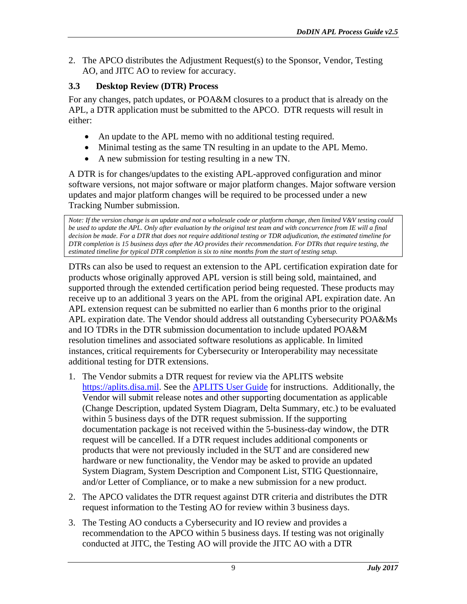2. The APCO distributes the Adjustment Request(s) to the Sponsor, Vendor, Testing AO, and JITC AO to review for accuracy.

## <span id="page-14-0"></span>**3.3 Desktop Review (DTR) Process**

For any changes, patch updates, or POA&M closures to a product that is already on the APL, a DTR application must be submitted to the APCO. DTR requests will result in either:

- An update to the APL memo with no additional testing required.
- Minimal testing as the same TN resulting in an update to the APL Memo.
- A new submission for testing resulting in a new TN.

A DTR is for changes/updates to the existing APL-approved configuration and minor software versions, not major software or major platform changes. Major software version updates and major platform changes will be required to be processed under a new Tracking Number submission.

*Note: If the version change is an update and not a wholesale code or platform change, then limited V&V testing could be used to update the APL. Only after evaluation by the original test team and with concurrence from IE will a final decision be made. For a DTR that does not require additional testing or TDR adjudication, the estimated timeline for DTR completion is 15 business days after the AO provides their recommendation. For DTRs that require testing, the estimated timeline for typical DTR completion is six to nine months from the start of testing setup.*

DTRs can also be used to request an extension to the APL certification expiration date for products whose originally approved APL version is still being sold, maintained, and supported through the extended certification period being requested. These products may receive up to an additional 3 years on the APL from the original APL expiration date. An APL extension request can be submitted no earlier than 6 months prior to the original APL expiration date. The Vendor should address all outstanding Cybersecurity POA&Ms and IO TDRs in the DTR submission documentation to include updated POA&M resolution timelines and associated software resolutions as applicable. In limited instances, critical requirements for Cybersecurity or Interoperability may necessitate additional testing for DTR extensions.

- 1. The Vendor submits a DTR request for review via the APLITS website [https://aplits.disa.mil.](https://aplits.disa.mil/) See the [APLITS User Guide](https://aplits.disa.mil/docs/aplitsuserguide.pdf) for instructions. Additionally, the Vendor will submit release notes and other supporting documentation as applicable (Change Description, updated System Diagram, Delta Summary, etc.) to be evaluated within 5 business days of the DTR request submission. If the supporting documentation package is not received within the 5-business-day window, the DTR request will be cancelled. If a DTR request includes additional components or products that were not previously included in the SUT and are considered new hardware or new functionality, the Vendor may be asked to provide an updated System Diagram, System Description and Component List, STIG Questionnaire, and/or Letter of Compliance, or to make a new submission for a new product.
- 2. The APCO validates the DTR request against DTR criteria and distributes the DTR request information to the Testing AO for review within 3 business days.
- 3. The Testing AO conducts a Cybersecurity and IO review and provides a recommendation to the APCO within 5 business days. If testing was not originally conducted at JITC, the Testing AO will provide the JITC AO with a DTR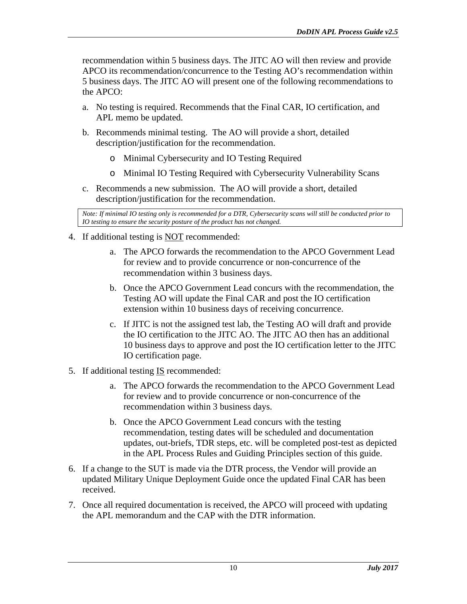recommendation within 5 business days. The JITC AO will then review and provide APCO its recommendation/concurrence to the Testing AO's recommendation within 5 business days. The JITC AO will present one of the following recommendations to the APCO:

- a. No testing is required. Recommends that the Final CAR, IO certification, and APL memo be updated.
- b. Recommends minimal testing. The AO will provide a short, detailed description/justification for the recommendation.
	- o Minimal Cybersecurity and IO Testing Required
	- o Minimal IO Testing Required with Cybersecurity Vulnerability Scans
- c. Recommends a new submission. The AO will provide a short, detailed description/justification for the recommendation.

*Note: If minimal IO testing only is recommended for a DTR, Cybersecurity scans will still be conducted prior to IO testing to ensure the security posture of the product has not changed.*

- 4. If additional testing is NOT recommended:
	- a. The APCO forwards the recommendation to the APCO Government Lead for review and to provide concurrence or non-concurrence of the recommendation within 3 business days.
	- b. Once the APCO Government Lead concurs with the recommendation, the Testing AO will update the Final CAR and post the IO certification extension within 10 business days of receiving concurrence.
	- c. If JITC is not the assigned test lab, the Testing AO will draft and provide the IO certification to the JITC AO. The JITC AO then has an additional 10 business days to approve and post the IO certification letter to the JITC IO certification page.
- 5. If additional testing **IS** recommended:
	- a. The APCO forwards the recommendation to the APCO Government Lead for review and to provide concurrence or non-concurrence of the recommendation within 3 business days.
	- b. Once the APCO Government Lead concurs with the testing recommendation, testing dates will be scheduled and documentation updates, out-briefs, TDR steps, etc. will be completed post-test as depicted in the APL Process Rules and Guiding Principles section of this guide.
- 6. If a change to the SUT is made via the DTR process, the Vendor will provide an updated Military Unique Deployment Guide once the updated Final CAR has been received.
- 7. Once all required documentation is received, the APCO will proceed with updating the APL memorandum and the CAP with the DTR information.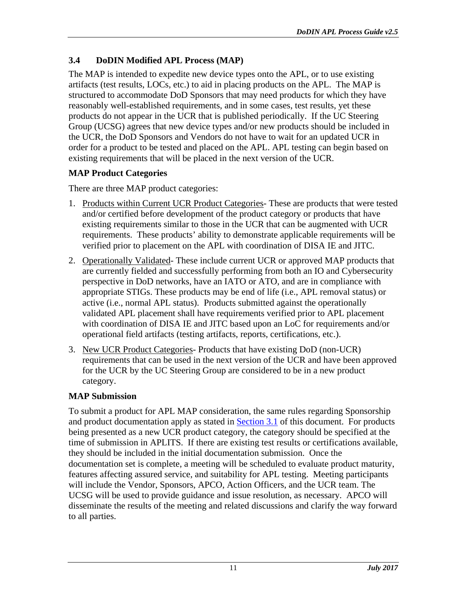# <span id="page-16-0"></span>**3.4 DoDIN Modified APL Process (MAP)**

The MAP is intended to expedite new device types onto the APL, or to use existing artifacts (test results, LOCs, etc.) to aid in placing products on the APL. The MAP is structured to accommodate DoD Sponsors that may need products for which they have reasonably well-established requirements, and in some cases, test results, yet these products do not appear in the UCR that is published periodically. If the UC Steering Group (UCSG) agrees that new device types and/or new products should be included in the UCR, the DoD Sponsors and Vendors do not have to wait for an updated UCR in order for a product to be tested and placed on the APL. APL testing can begin based on existing requirements that will be placed in the next version of the UCR.

## **MAP Product Categories**

There are three MAP product categories:

- 1. Products within Current UCR Product Categories- These are products that were tested and/or certified before development of the product category or products that have existing requirements similar to those in the UCR that can be augmented with UCR requirements. These products' ability to demonstrate applicable requirements will be verified prior to placement on the APL with coordination of DISA IE and JITC.
- 2. Operationally Validated- These include current UCR or approved MAP products that are currently fielded and successfully performing from both an IO and Cybersecurity perspective in DoD networks, have an IATO or ATO, and are in compliance with appropriate STIGs. These products may be end of life (i.e., APL removal status) or active (i.e., normal APL status). Products submitted against the operationally validated APL placement shall have requirements verified prior to APL placement with coordination of DISA IE and JITC based upon an LoC for requirements and/or operational field artifacts (testing artifacts, reports, certifications, etc.).
- 3. New UCR Product Categories- Products that have existing DoD (non-UCR) requirements that can be used in the next version of the UCR and have been approved for the UCR by the UC Steering Group are considered to be in a new product category.

## **MAP Submission**

To submit a product for APL MAP consideration, the same rules regarding Sponsorship and product documentation apply as stated in [Section 3.1](#page-9-0) of this document. For products being presented as a new UCR product category, the category should be specified at the time of submission in APLITS. If there are existing test results or certifications available, they should be included in the initial documentation submission. Once the documentation set is complete, a meeting will be scheduled to evaluate product maturity, features affecting assured service, and suitability for APL testing. Meeting participants will include the Vendor, Sponsors, APCO, Action Officers, and the UCR team. The UCSG will be used to provide guidance and issue resolution, as necessary. APCO will disseminate the results of the meeting and related discussions and clarify the way forward to all parties.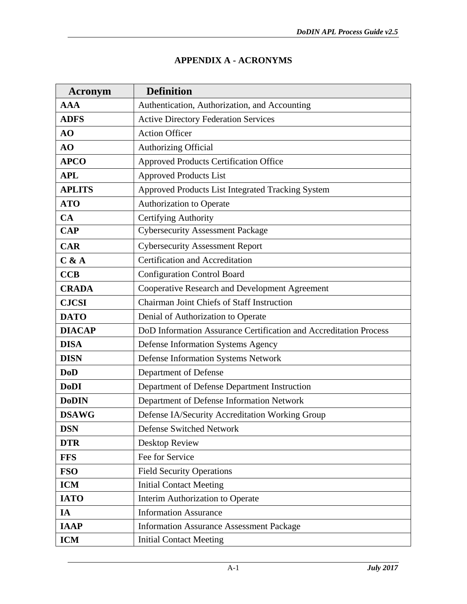## **APPENDIX A - ACRONYMS**

<span id="page-17-0"></span>

| Acronym       | <b>Definition</b>                                                 |  |
|---------------|-------------------------------------------------------------------|--|
| <b>AAA</b>    | Authentication, Authorization, and Accounting                     |  |
| <b>ADFS</b>   | <b>Active Directory Federation Services</b>                       |  |
| AO            | <b>Action Officer</b>                                             |  |
| AO            | Authorizing Official                                              |  |
| <b>APCO</b>   | <b>Approved Products Certification Office</b>                     |  |
| <b>APL</b>    | <b>Approved Products List</b>                                     |  |
| <b>APLITS</b> | Approved Products List Integrated Tracking System                 |  |
| <b>ATO</b>    | Authorization to Operate                                          |  |
| CA            | Certifying Authority                                              |  |
| <b>CAP</b>    | <b>Cybersecurity Assessment Package</b>                           |  |
| <b>CAR</b>    | <b>Cybersecurity Assessment Report</b>                            |  |
| C & A         | Certification and Accreditation                                   |  |
| <b>CCB</b>    | <b>Configuration Control Board</b>                                |  |
| <b>CRADA</b>  | Cooperative Research and Development Agreement                    |  |
| <b>CJCSI</b>  | <b>Chairman Joint Chiefs of Staff Instruction</b>                 |  |
| <b>DATO</b>   | Denial of Authorization to Operate                                |  |
| <b>DIACAP</b> | DoD Information Assurance Certification and Accreditation Process |  |
| <b>DISA</b>   | Defense Information Systems Agency                                |  |
| <b>DISN</b>   | Defense Information Systems Network                               |  |
| <b>DoD</b>    | Department of Defense                                             |  |
| <b>DoDI</b>   | Department of Defense Department Instruction                      |  |
| <b>DoDIN</b>  | Department of Defense Information Network                         |  |
| <b>DSAWG</b>  | Defense IA/Security Accreditation Working Group                   |  |
| <b>DSN</b>    | Defense Switched Network                                          |  |
| <b>DTR</b>    | Desktop Review                                                    |  |
| <b>FFS</b>    | Fee for Service                                                   |  |
| <b>FSO</b>    | <b>Field Security Operations</b>                                  |  |
| <b>ICM</b>    | <b>Initial Contact Meeting</b>                                    |  |
| <b>IATO</b>   | Interim Authorization to Operate                                  |  |
| IA            | <b>Information Assurance</b>                                      |  |
| <b>IAAP</b>   | <b>Information Assurance Assessment Package</b>                   |  |
| <b>ICM</b>    | <b>Initial Contact Meeting</b>                                    |  |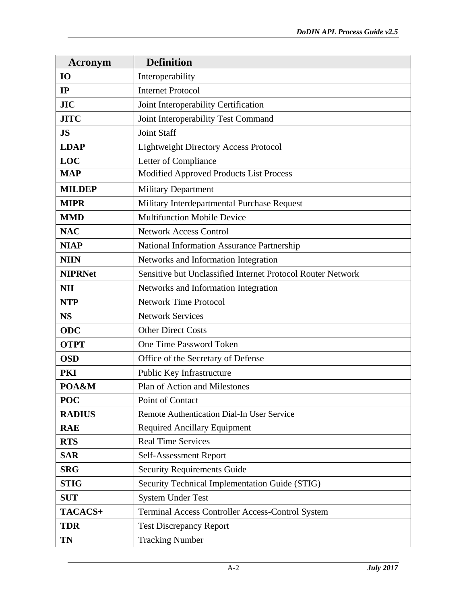| Acronym        | <b>Definition</b>                                           |  |
|----------------|-------------------------------------------------------------|--|
| <b>IO</b>      | Interoperability                                            |  |
| IP             | <b>Internet Protocol</b>                                    |  |
| <b>JIC</b>     | Joint Interoperability Certification                        |  |
| <b>JITC</b>    | Joint Interoperability Test Command                         |  |
| <b>JS</b>      | <b>Joint Staff</b>                                          |  |
| <b>LDAP</b>    | <b>Lightweight Directory Access Protocol</b>                |  |
| LOC            | Letter of Compliance                                        |  |
| <b>MAP</b>     | Modified Approved Products List Process                     |  |
| <b>MILDEP</b>  | <b>Military Department</b>                                  |  |
| <b>MIPR</b>    | Military Interdepartmental Purchase Request                 |  |
| <b>MMD</b>     | <b>Multifunction Mobile Device</b>                          |  |
| <b>NAC</b>     | <b>Network Access Control</b>                               |  |
| <b>NIAP</b>    | National Information Assurance Partnership                  |  |
| <b>NIIN</b>    | Networks and Information Integration                        |  |
| <b>NIPRNet</b> | Sensitive but Unclassified Internet Protocol Router Network |  |
| <b>NII</b>     | Networks and Information Integration                        |  |
| <b>NTP</b>     | <b>Network Time Protocol</b>                                |  |
| <b>NS</b>      | <b>Network Services</b>                                     |  |
| <b>ODC</b>     | <b>Other Direct Costs</b>                                   |  |
| <b>OTPT</b>    | One Time Password Token                                     |  |
| <b>OSD</b>     | Office of the Secretary of Defense                          |  |
| <b>PKI</b>     | Public Key Infrastructure                                   |  |
| POA&M          | Plan of Action and Milestones                               |  |
| <b>POC</b>     | Point of Contact                                            |  |
| <b>RADIUS</b>  | Remote Authentication Dial-In User Service                  |  |
| <b>RAE</b>     | <b>Required Ancillary Equipment</b>                         |  |
| <b>RTS</b>     | <b>Real Time Services</b>                                   |  |
| <b>SAR</b>     | Self-Assessment Report                                      |  |
| <b>SRG</b>     | <b>Security Requirements Guide</b>                          |  |
| <b>STIG</b>    | Security Technical Implementation Guide (STIG)              |  |
| <b>SUT</b>     | <b>System Under Test</b>                                    |  |
| TACACS+        | <b>Terminal Access Controller Access-Control System</b>     |  |
| <b>TDR</b>     | <b>Test Discrepancy Report</b>                              |  |
| TN             | <b>Tracking Number</b>                                      |  |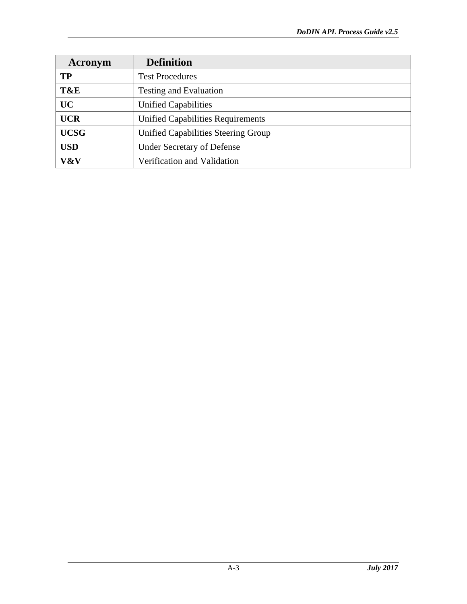| Acronym     | <b>Definition</b>                        |  |
|-------------|------------------------------------------|--|
| TP          | <b>Test Procedures</b>                   |  |
| T&E         | <b>Testing and Evaluation</b>            |  |
| <b>UC</b>   | <b>Unified Capabilities</b>              |  |
| <b>UCR</b>  | <b>Unified Capabilities Requirements</b> |  |
| <b>UCSG</b> | Unified Capabilities Steering Group      |  |
| <b>USD</b>  | <b>Under Secretary of Defense</b>        |  |
| V&V         | Verification and Validation              |  |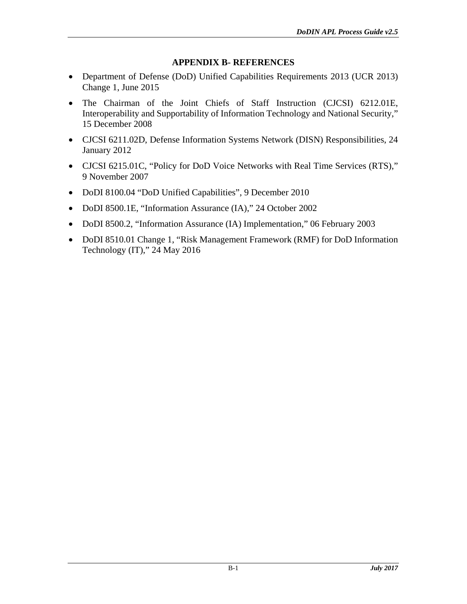#### **APPENDIX B- REFERENCES**

- <span id="page-20-0"></span>• Department of Defense (DoD) Unified Capabilities Requirements 2013 (UCR 2013) Change 1, June 2015
- The Chairman of the Joint Chiefs of Staff Instruction (CJCSI) 6212.01E, Interoperability and Supportability of Information Technology and National Security," 15 December 2008
- CJCSI 6211.02D, Defense Information Systems Network (DISN) Responsibilities, 24 January 2012
- CJCSI 6215.01C, "Policy for DoD Voice Networks with Real Time Services (RTS)," 9 November 2007
- DoDI 8100.04 "DoD Unified Capabilities", 9 December 2010
- DoDI 8500.1E, "Information Assurance (IA)," 24 October 2002
- DoDI 8500.2, "Information Assurance (IA) Implementation," 06 February 2003
- DoDI 8510.01 Change 1, "Risk Management Framework (RMF) for DoD Information Technology (IT)," 24 May 2016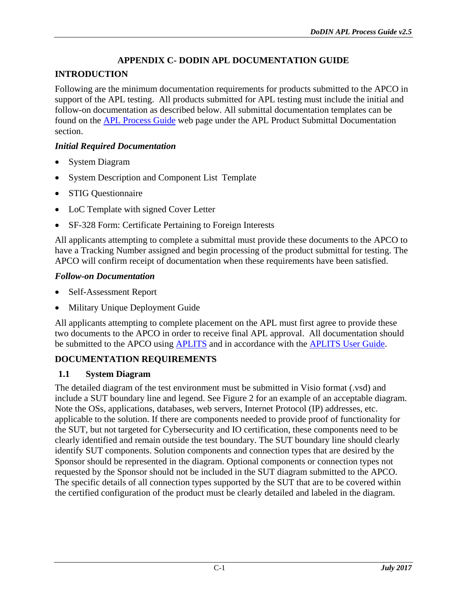# **APPENDIX C- DODIN APL DOCUMENTATION GUIDE**

# <span id="page-21-0"></span>**INTRODUCTION**

Following are the minimum documentation requirements for products submitted to the APCO in support of the APL testing. All products submitted for APL testing must include the initial and follow-on documentation as described below. All submittal documentation templates can be found on the [APL Process Guide](http://www.disa.mil/Network-Services/UCCO/Policies-and-Procedures) web page under the APL Product Submittal Documentation section.

## *Initial Required Documentation*

- System Diagram
- System Description and Component List Template
- STIG Questionnaire
- LoC Template with signed Cover Letter
- SF-328 Form: Certificate Pertaining to Foreign Interests

All applicants attempting to complete a submittal must provide these documents to the APCO to have a Tracking Number assigned and begin processing of the product submittal for testing. The APCO will confirm receipt of documentation when these requirements have been satisfied.

## *Follow-on Documentation*

- Self-Assessment Report
- Military Unique Deployment Guide

All applicants attempting to complete placement on the APL must first agree to provide these two documents to the APCO in order to receive final APL approval. All documentation should be submitted to the APCO using [APLITS](https://aplits.disa.mil/) and in accordance with the [APLITS User Guide.](https://aplits.disa.mil/docs/aplitsuserguide.pdf)

## **DOCUMENTATION REQUIREMENTS**

## <span id="page-21-1"></span>**1.1 System Diagram**

The detailed diagram of the test environment must be submitted in Visio format (.vsd) and include a SUT boundary line and legend. See [Figure 2](#page-22-0) for an example of an acceptable diagram. Note the OSs, applications, databases, web servers, Internet Protocol (IP) addresses, etc. applicable to the solution. If there are components needed to provide proof of functionality for the SUT, but not targeted for Cybersecurity and IO certification, these components need to be clearly identified and remain outside the test boundary. The SUT boundary line should clearly identify SUT components. Solution components and connection types that are desired by the Sponsor should be represented in the diagram. Optional components or connection types not requested by the Sponsor should not be included in the SUT diagram submitted to the APCO. The specific details of all connection types supported by the SUT that are to be covered within the certified configuration of the product must be clearly detailed and labeled in the diagram.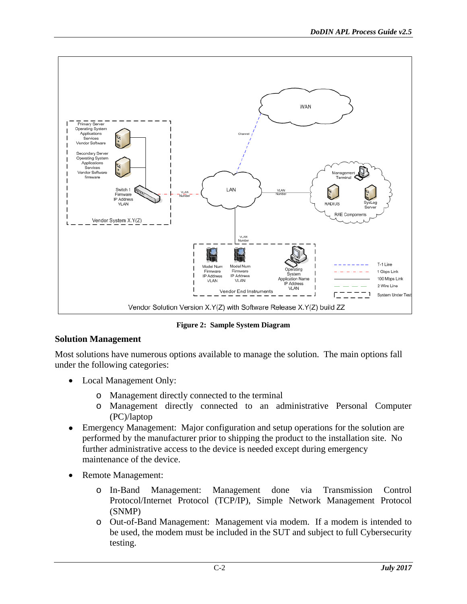

**Figure 2: Sample System Diagram**

#### <span id="page-22-0"></span>**Solution Management**

Most solutions have numerous options available to manage the solution. The main options fall under the following categories:

- Local Management Only:
	- o Management directly connected to the terminal
	- o Management directly connected to an administrative Personal Computer (PC)/laptop
- Emergency Management: Major configuration and setup operations for the solution are performed by the manufacturer prior to shipping the product to the installation site. No further administrative access to the device is needed except during emergency maintenance of the device.
- Remote Management:
	- o In-Band Management: Management done via Transmission Control Protocol/Internet Protocol (TCP/IP), Simple Network Management Protocol (SNMP)
	- o Out-of-Band Management: Management via modem. If a modem is intended to be used, the modem must be included in the SUT and subject to full Cybersecurity testing.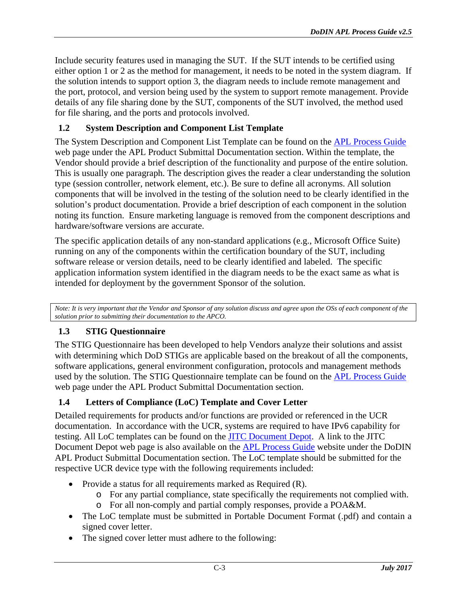Include security features used in managing the SUT. If the SUT intends to be certified using either option 1 or 2 as the method for management, it needs to be noted in the system diagram. If the solution intends to support option 3, the diagram needs to include remote management and the port, protocol, and version being used by the system to support remote management. Provide details of any file sharing done by the SUT, components of the SUT involved, the method used for file sharing, and the ports and protocols involved.

### <span id="page-23-0"></span>**1.2 System Description and Component List Template**

The System Description and Component List Template can be found on the **APL Process Guide** web page under the APL Product Submittal Documentation section. Within the template, the Vendor should provide a brief description of the functionality and purpose of the entire solution. This is usually one paragraph. The description gives the reader a clear understanding the solution type (session controller, network element, etc.). Be sure to define all acronyms. All solution components that will be involved in the testing of the solution need to be clearly identified in the solution's product documentation. Provide a brief description of each component in the solution noting its function. Ensure marketing language is removed from the component descriptions and hardware/software versions are accurate.

The specific application details of any non-standard applications (e.g., Microsoft Office Suite) running on any of the components within the certification boundary of the SUT, including software release or version details, need to be clearly identified and labeled. The specific application information system identified in the diagram needs to be the exact same as what is intended for deployment by the government Sponsor of the solution.

*Note: It is very important that the Vendor and Sponsor of any solution discuss and agree upon the OSs of each component of the solution prior to submitting their documentation to the APCO.*

## <span id="page-23-1"></span>**1.3 STIG Questionnaire**

The STIG Questionnaire has been developed to help Vendors analyze their solutions and assist with determining which DoD STIGs are applicable based on the breakout of all the components, software applications, general environment configuration, protocols and management methods used by the solution. The STIG Questionnaire template can be found on the [APL Process Guide](http://www.disa.mil/Services/Network-Services/UCCO/Policies-and-Procedures?panel=1) web page under the APL Product Submittal Documentation section.

#### <span id="page-23-2"></span>**1.4 Letters of Compliance (LoC) Template and Cover Letter**

Detailed requirements for products and/or functions are provided or referenced in the UCR documentation. In accordance with the UCR, systems are required to have IPv6 capability for testing. All LoC templates can be found on the [JITC Document Depot.](http://jitc.fhu.disa.mil/projects/ucdepot/documentdepot.aspx) A link to the JITC Document Depot web page is also available on the **APL Process Guide** website under the DoDIN APL Product Submittal Documentation section. The LoC template should be submitted for the respective UCR device type with the following requirements included:

- Provide a status for all requirements marked as Required (R).
	- o For any partial compliance, state specifically the requirements not complied with.
	- o For all non-comply and partial comply responses, provide a POA&M.
- The LoC template must be submitted in Portable Document Format (.pdf) and contain a signed cover letter.
- The signed cover letter must adhere to the following: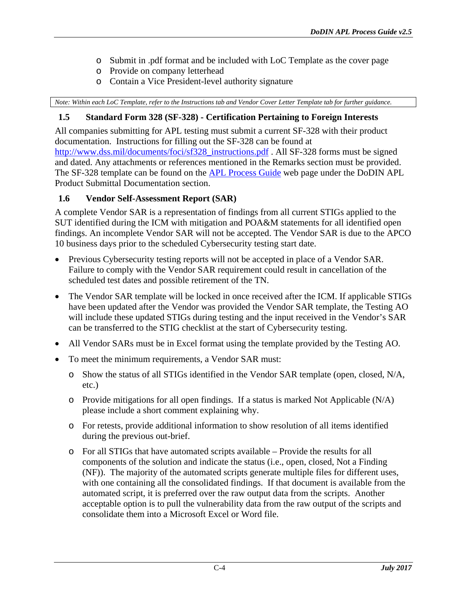- o Submit in .pdf format and be included with LoC Template as the cover page
- o Provide on company letterhead
- o Contain a Vice President-level authority signature

*Note: Within each LoC Template, refer to the Instructions tab and Vendor Cover Letter Template tab for further guidance.*

#### <span id="page-24-0"></span>**1.5 Standard Form 328 (SF-328) - Certification Pertaining to Foreign Interests**

All companies submitting for APL testing must submit a current SF-328 with their product documentation. Instructions for filling out the SF-328 can be found at [http://www.dss.mil/documents/foci/sf328\\_instructions.pdf](http://www.dss.mil/documents/foci/sf328_instructions.pdf) . All SF-328 forms must be signed and dated. Any attachments or references mentioned in the Remarks section must be provided. The SF-328 template can be found on the [APL Process Guide](http://www.disa.mil/Services/Network-Services/UCCO/Policies-and-Procedures?panel=1) web page under the DoDIN APL Product Submittal Documentation section.

#### <span id="page-24-1"></span>**1.6 Vendor Self-Assessment Report (SAR)**

A complete Vendor SAR is a representation of findings from all current STIGs applied to the SUT identified during the ICM with mitigation and POA&M statements for all identified open findings. An incomplete Vendor SAR will not be accepted. The Vendor SAR is due to the APCO 10 business days prior to the scheduled Cybersecurity testing start date.

- Previous Cybersecurity testing reports will not be accepted in place of a Vendor SAR. Failure to comply with the Vendor SAR requirement could result in cancellation of the scheduled test dates and possible retirement of the TN.
- The Vendor SAR template will be locked in once received after the ICM. If applicable STIGs have been updated after the Vendor was provided the Vendor SAR template, the Testing AO will include these updated STIGs during testing and the input received in the Vendor's SAR can be transferred to the STIG checklist at the start of Cybersecurity testing.
- All Vendor SARs must be in Excel format using the template provided by the Testing AO.
- To meet the minimum requirements, a Vendor SAR must:
	- o Show the status of all STIGs identified in the Vendor SAR template (open, closed, N/A, etc.)
	- o Provide mitigations for all open findings. If a status is marked Not Applicable (N/A) please include a short comment explaining why.
	- o For retests, provide additional information to show resolution of all items identified during the previous out-brief.
	- o For all STIGs that have automated scripts available Provide the results for all components of the solution and indicate the status (i.e., open, closed, Not a Finding (NF)). The majority of the automated scripts generate multiple files for different uses, with one containing all the consolidated findings. If that document is available from the automated script, it is preferred over the raw output data from the scripts. Another acceptable option is to pull the vulnerability data from the raw output of the scripts and consolidate them into a Microsoft Excel or Word file.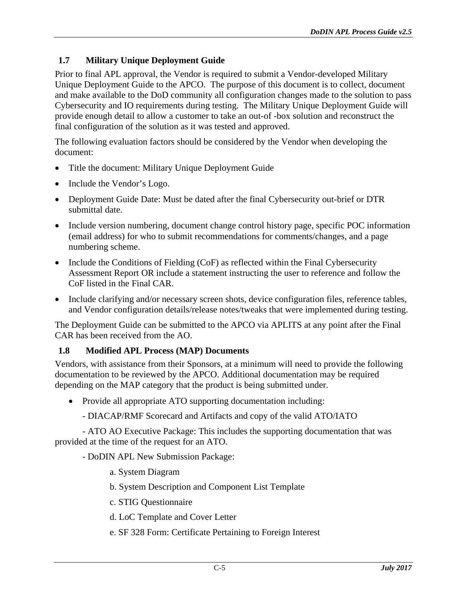## <span id="page-25-0"></span>**1.7 Military Unique Deployment Guide**

Prior to final APL approval, the Vendor is required to submit a Vendor-developed Military Unique Deployment Guide to the APCO. The purpose of this document is to collect, document and make available to the DoD community all configuration changes made to the solution to pass Cybersecurity and IO requirements during testing. The Military Unique Deployment Guide will provide enough detail to allow a customer to take an out-of -box solution and reconstruct the final configuration of the solution as it was tested and approved.

The following evaluation factors should be considered by the Vendor when developing the document:

- Title the document: Military Unique Deployment Guide
- Include the Vendor's Logo.
- Deployment Guide Date: Must be dated after the final Cybersecurity out-brief or DTR submittal date.
- Include version numbering, document change control history page, specific POC information (email address) for who to submit recommendations for comments/changes, and a page numbering scheme.
- Include the Conditions of Fielding (CoF) as reflected within the Final Cybersecurity Assessment Report OR include a statement instructing the user to reference and follow the CoF listed in the Final CAR.
- Include clarifying and/or necessary screen shots, device configuration files, reference tables, and Vendor configuration details/release notes/tweaks that were implemented during testing.

The Deployment Guide can be submitted to the APCO via APLITS at any point after the Final CAR has been received from the AO.

#### <span id="page-25-1"></span>**1.8 Modified APL Process (MAP) Documents**

Vendors, with assistance from their Sponsors, at a minimum will need to provide the following documentation to be reviewed by the APCO. Additional documentation may be required depending on the MAP category that the product is being submitted under.

- Provide all appropriate ATO supporting documentation including:
	- DIACAP/RMF Scorecard and Artifacts and copy of the valid ATO/IATO

- ATO AO Executive Package: This includes the supporting documentation that was provided at the time of the request for an ATO.

#### - DoDIN APL New Submission Package:

- a. System Diagram
- b. System Description and Component List Template
- c. STIG Questionnaire
- d. LoC Template and Cover Letter
- e. SF 328 Form: Certificate Pertaining to Foreign Interest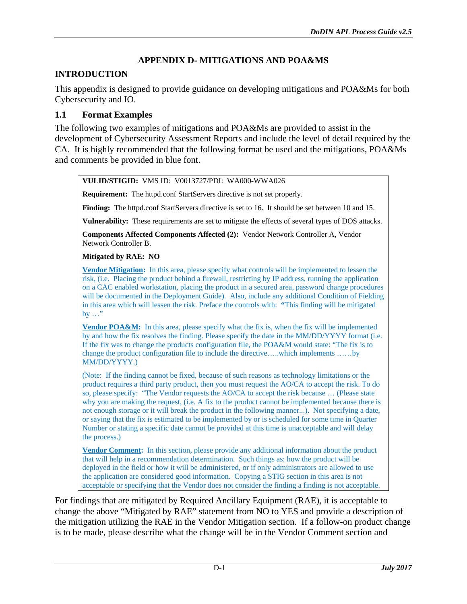## **APPENDIX D- MITIGATIONS AND POA&MS**

## <span id="page-26-0"></span>**INTRODUCTION**

This appendix is designed to provide guidance on developing mitigations and POA&Ms for both Cybersecurity and IO.

#### <span id="page-26-1"></span>**1.1 Format Examples**

The following two examples of mitigations and POA&Ms are provided to assist in the development of Cybersecurity Assessment Reports and include the level of detail required by the CA. It is highly recommended that the following format be used and the mitigations, POA&Ms and comments be provided in blue font.

#### **VULID/STIGID:** VMS ID: V0013727/PDI: WA000-WWA026

**Requirement:** The httpd.conf StartServers directive is not set properly.

**Finding:** The httpd.conf StartServers directive is set to 16. It should be set between 10 and 15.

**Vulnerability:** These requirements are set to mitigate the effects of several types of DOS attacks.

**Components Affected Components Affected (2):** Vendor Network Controller A, Vendor Network Controller B.

**Mitigated by RAE: NO**

**Vendor Mitigation:** In this area, please specify what controls will be implemented to lessen the risk, (i.e. Placing the product behind a firewall, restricting by IP address, running the application on a CAC enabled workstation, placing the product in a secured area, password change procedures will be documented in the Deployment Guide). Also, include any additional Condition of Fielding in this area which will lessen the risk. Preface the controls with: **"**This finding will be mitigated by …"

**Vendor POA&M:** In this area, please specify what the fix is, when the fix will be implemented by and how the fix resolves the finding. Please specify the date in the MM/DD/YYYY format (i.e. If the fix was to change the products configuration file, the POA&M would state: "The fix is to change the product configuration file to include the directive…..which implements ……by MM/DD/YYYY.)

(Note: If the finding cannot be fixed, because of such reasons as technology limitations or the product requires a third party product, then you must request the AO/CA to accept the risk. To do so, please specify: "The Vendor requests the AO/CA to accept the risk because … (Please state why you are making the request, (i.e. A fix to the product cannot be implemented because there is not enough storage or it will break the product in the following manner...). Not specifying a date, or saying that the fix is estimated to be implemented by or is scheduled for some time in Quarter Number or stating a specific date cannot be provided at this time is unacceptable and will delay the process.)

**Vendor Comment:** In this section, please provide any additional information about the product that will help in a recommendation determination. Such things as: how the product will be deployed in the field or how it will be administered, or if only administrators are allowed to use the application are considered good information. Copying a STIG section in this area is not acceptable or specifying that the Vendor does not consider the finding a finding is not acceptable.

For findings that are mitigated by Required Ancillary Equipment (RAE), it is acceptable to change the above "Mitigated by RAE" statement from NO to YES and provide a description of the mitigation utilizing the RAE in the Vendor Mitigation section. If a follow-on product change is to be made, please describe what the change will be in the Vendor Comment section and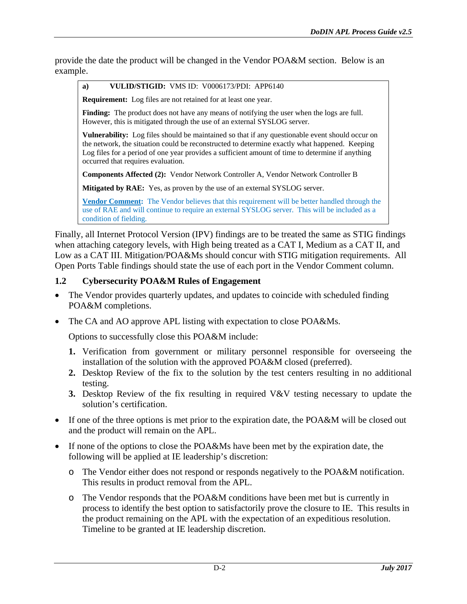provide the date the product will be changed in the Vendor POA&M section. Below is an example.

**a) VULID/STIGID:** VMS ID: V0006173/PDI: APP6140

**Requirement:** Log files are not retained for at least one year.

Finding: The product does not have any means of notifying the user when the logs are full. However, this is mitigated through the use of an external SYSLOG server.

**Vulnerability:** Log files should be maintained so that if any questionable event should occur on the network, the situation could be reconstructed to determine exactly what happened. Keeping Log files for a period of one year provides a sufficient amount of time to determine if anything occurred that requires evaluation.

**Components Affected (2):** Vendor Network Controller A, Vendor Network Controller B

**Mitigated by RAE:** Yes, as proven by the use of an external SYSLOG server.

**Vendor Comment:** The Vendor believes that this requirement will be better handled through the use of RAE and will continue to require an external SYSLOG server. This will be included as a condition of fielding.

Finally, all Internet Protocol Version (IPV) findings are to be treated the same as STIG findings when attaching category levels, with High being treated as a CAT I, Medium as a CAT II, and Low as a CAT III. Mitigation/POA&Ms should concur with STIG mitigation requirements. All Open Ports Table findings should state the use of each port in the Vendor Comment column.

#### <span id="page-27-0"></span>**1.2 Cybersecurity POA&M Rules of Engagement**

- The Vendor provides quarterly updates, and updates to coincide with scheduled finding POA&M completions.
- The CA and AO approve APL listing with expectation to close POA&Ms.

Options to successfully close this POA&M include:

- **1.** Verification from government or military personnel responsible for overseeing the installation of the solution with the approved POA&M closed (preferred).
- **2.** Desktop Review of the fix to the solution by the test centers resulting in no additional testing.
- **3.** Desktop Review of the fix resulting in required V&V testing necessary to update the solution's certification.
- If one of the three options is met prior to the expiration date, the POA&M will be closed out and the product will remain on the APL.
- If none of the options to close the POA&Ms have been met by the expiration date, the following will be applied at IE leadership's discretion:
	- o The Vendor either does not respond or responds negatively to the POA&M notification. This results in product removal from the APL.
	- o The Vendor responds that the POA&M conditions have been met but is currently in process to identify the best option to satisfactorily prove the closure to IE. This results in the product remaining on the APL with the expectation of an expeditious resolution. Timeline to be granted at IE leadership discretion.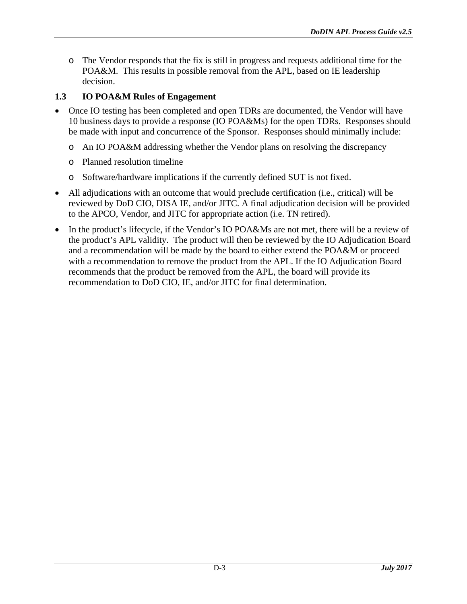o The Vendor responds that the fix is still in progress and requests additional time for the POA&M. This results in possible removal from the APL, based on IE leadership decision.

## <span id="page-28-0"></span>**1.3 IO POA&M Rules of Engagement**

- Once IO testing has been completed and open TDRs are documented, the Vendor will have 10 business days to provide a response (IO POA&Ms) for the open TDRs. Responses should be made with input and concurrence of the Sponsor. Responses should minimally include:
	- o An IO POA&M addressing whether the Vendor plans on resolving the discrepancy
	- o Planned resolution timeline
	- o Software/hardware implications if the currently defined SUT is not fixed.
- All adjudications with an outcome that would preclude certification (i.e., critical) will be reviewed by DoD CIO, DISA IE, and/or JITC. A final adjudication decision will be provided to the APCO, Vendor, and JITC for appropriate action (i.e. TN retired).
- In the product's lifecycle, if the Vendor's IO POA&Ms are not met, there will be a review of the product's APL validity. The product will then be reviewed by the IO Adjudication Board and a recommendation will be made by the board to either extend the POA&M or proceed with a recommendation to remove the product from the APL. If the IO Adjudication Board recommends that the product be removed from the APL, the board will provide its recommendation to DoD CIO, IE, and/or JITC for final determination.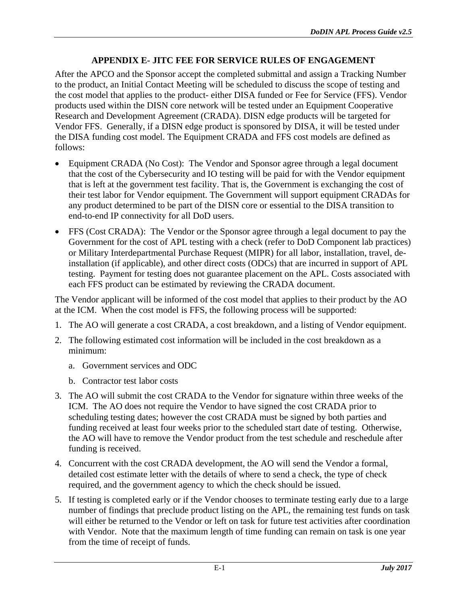### **APPENDIX E- JITC FEE FOR SERVICE RULES OF ENGAGEMENT**

<span id="page-29-0"></span>After the APCO and the Sponsor accept the completed submittal and assign a Tracking Number to the product, an Initial Contact Meeting will be scheduled to discuss the scope of testing and the cost model that applies to the product- either DISA funded or Fee for Service (FFS). Vendor products used within the DISN core network will be tested under an Equipment Cooperative Research and Development Agreement (CRADA). DISN edge products will be targeted for Vendor FFS. Generally, if a DISN edge product is sponsored by DISA, it will be tested under the DISA funding cost model. The Equipment CRADA and FFS cost models are defined as follows:

- Equipment CRADA (No Cost): The Vendor and Sponsor agree through a legal document that the cost of the Cybersecurity and IO testing will be paid for with the Vendor equipment that is left at the government test facility. That is, the Government is exchanging the cost of their test labor for Vendor equipment. The Government will support equipment CRADAs for any product determined to be part of the DISN core or essential to the DISA transition to end-to-end IP connectivity for all DoD users.
- FFS (Cost CRADA): The Vendor or the Sponsor agree through a legal document to pay the Government for the cost of APL testing with a check (refer to DoD Component lab practices) or Military Interdepartmental Purchase Request (MIPR) for all labor, installation, travel, deinstallation (if applicable), and other direct costs (ODCs) that are incurred in support of APL testing. Payment for testing does not guarantee placement on the APL. Costs associated with each FFS product can be estimated by reviewing the CRADA document.

The Vendor applicant will be informed of the cost model that applies to their product by the AO at the ICM. When the cost model is FFS, the following process will be supported:

- 1. The AO will generate a cost CRADA, a cost breakdown, and a listing of Vendor equipment.
- 2. The following estimated cost information will be included in the cost breakdown as a minimum:
	- a. Government services and ODC
	- b. Contractor test labor costs
- 3. The AO will submit the cost CRADA to the Vendor for signature within three weeks of the ICM. The AO does not require the Vendor to have signed the cost CRADA prior to scheduling testing dates; however the cost CRADA must be signed by both parties and funding received at least four weeks prior to the scheduled start date of testing. Otherwise, the AO will have to remove the Vendor product from the test schedule and reschedule after funding is received.
- 4. Concurrent with the cost CRADA development, the AO will send the Vendor a formal, detailed cost estimate letter with the details of where to send a check, the type of check required, and the government agency to which the check should be issued.
- 5. If testing is completed early or if the Vendor chooses to terminate testing early due to a large number of findings that preclude product listing on the APL, the remaining test funds on task will either be returned to the Vendor or left on task for future test activities after coordination with Vendor. Note that the maximum length of time funding can remain on task is one year from the time of receipt of funds.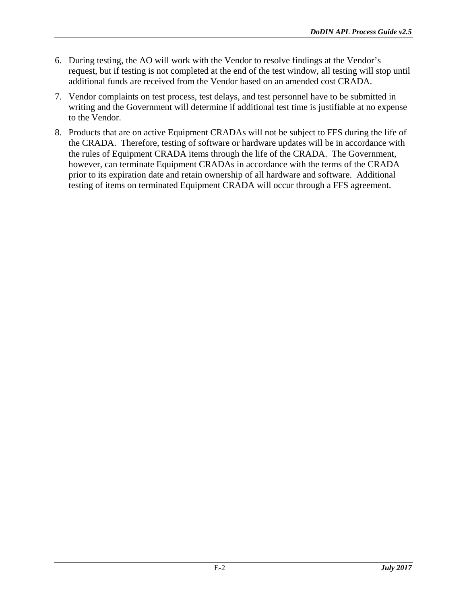- 6. During testing, the AO will work with the Vendor to resolve findings at the Vendor's request, but if testing is not completed at the end of the test window, all testing will stop until additional funds are received from the Vendor based on an amended cost CRADA.
- 7. Vendor complaints on test process, test delays, and test personnel have to be submitted in writing and the Government will determine if additional test time is justifiable at no expense to the Vendor.
- 8. Products that are on active Equipment CRADAs will not be subject to FFS during the life of the CRADA. Therefore, testing of software or hardware updates will be in accordance with the rules of Equipment CRADA items through the life of the CRADA. The Government, however, can terminate Equipment CRADAs in accordance with the terms of the CRADA prior to its expiration date and retain ownership of all hardware and software. Additional testing of items on terminated Equipment CRADA will occur through a FFS agreement.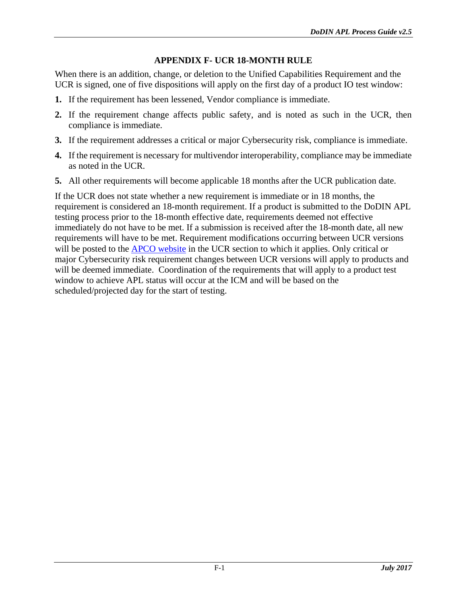#### **APPENDIX F- UCR 18-MONTH RULE**

<span id="page-31-0"></span>When there is an addition, change, or deletion to the Unified Capabilities Requirement and the UCR is signed, one of five dispositions will apply on the first day of a product IO test window:

- **1.** If the requirement has been lessened, Vendor compliance is immediate.
- **2.** If the requirement change affects public safety, and is noted as such in the UCR, then compliance is immediate.
- **3.** If the requirement addresses a critical or major Cybersecurity risk, compliance is immediate.
- **4.** If the requirement is necessary for multivendor interoperability, compliance may be immediate as noted in the UCR.
- **5.** All other requirements will become applicable 18 months after the UCR publication date.

If the UCR does not state whether a new requirement is immediate or in 18 months, the requirement is considered an 18-month requirement. If a product is submitted to the DoDIN APL testing process prior to the 18-month effective date, requirements deemed not effective immediately do not have to be met. If a submission is received after the 18-month date, all new requirements will have to be met. Requirement modifications occurring between UCR versions will be posted to the APCO [website](http://www.disa.mil/Network-Services/UCCO/Policies-and-Procedures) in the UCR section to which it applies. Only critical or major Cybersecurity risk requirement changes between UCR versions will apply to products and will be deemed immediate. Coordination of the requirements that will apply to a product test window to achieve APL status will occur at the ICM and will be based on the scheduled/projected day for the start of testing.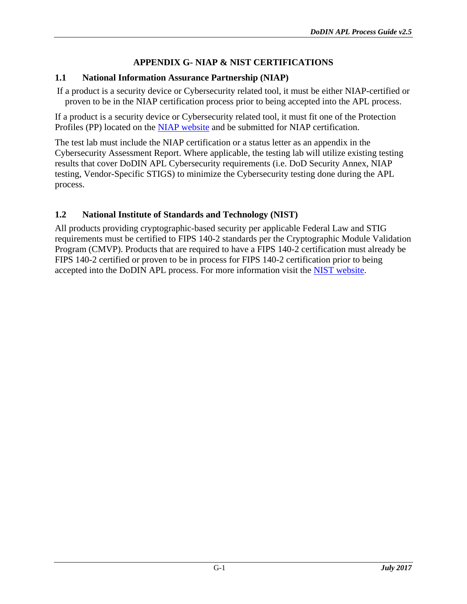#### **APPENDIX G- NIAP & NIST CERTIFICATIONS**

#### <span id="page-32-1"></span><span id="page-32-0"></span>**1.1 National Information Assurance Partnership (NIAP)**

If a product is a security device or Cybersecurity related tool, it must be either NIAP-certified or proven to be in the NIAP certification process prior to being accepted into the APL process.

If a product is a security device or Cybersecurity related tool, it must fit one of the Protection Profiles (PP) located on the [NIAP website](https://www.niap-ccevs.org/Profile/PP.cfm) and be submitted for NIAP certification.

The test lab must include the NIAP certification or a status letter as an appendix in the Cybersecurity Assessment Report. Where applicable, the testing lab will utilize existing testing results that cover DoDIN APL Cybersecurity requirements (i.e. DoD Security Annex, NIAP testing, Vendor-Specific STIGS) to minimize the Cybersecurity testing done during the APL process.

#### <span id="page-32-2"></span>**1.2 National Institute of Standards and Technology (NIST)**

All products providing cryptographic-based security per applicable Federal Law and STIG requirements must be certified to FIPS 140-2 standards per the Cryptographic Module Validation Program (CMVP). Products that are required to have a FIPS 140-2 certification must already be FIPS 140-2 certified or proven to be in process for FIPS 140-2 certification prior to being accepted into the DoDIN APL process. For more information visit the [NIST website.](http://csrc.nist.gov/groups/STM/cmvp/index.html)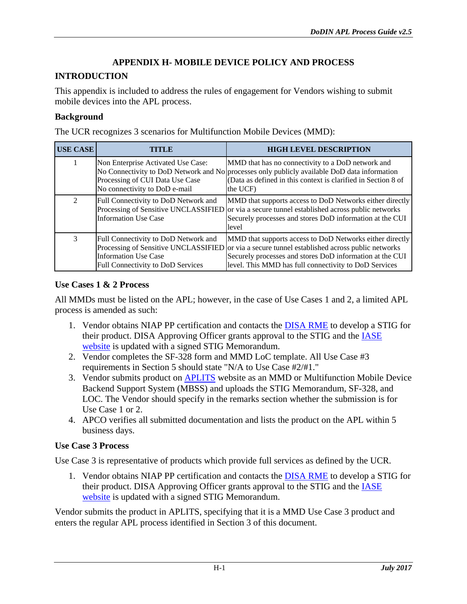## **APPENDIX H- MOBILE DEVICE POLICY AND PROCESS**

#### <span id="page-33-0"></span>**INTRODUCTION**

This appendix is included to address the rules of engagement for Vendors wishing to submit mobile devices into the APL process.

#### **Background**

The UCR recognizes 3 scenarios for Multifunction Mobile Devices (MMD):

| <b>USE CASE</b> | TTTLE                                                                                                    | <b>HIGH LEVEL DESCRIPTION</b>                                                                                                                                                                                                                                                   |
|-----------------|----------------------------------------------------------------------------------------------------------|---------------------------------------------------------------------------------------------------------------------------------------------------------------------------------------------------------------------------------------------------------------------------------|
|                 | Non Enterprise Activated Use Case:<br>Processing of CUI Data Use Case<br>No connectivity to DoD e-mail   | MMD that has no connectivity to a DoD network and<br>No Connectivity to DoD Network and No processes only publicly available DoD data information<br>(Data as defined in this context is clarified in Section 8 of<br>the UCF)                                                  |
| 2               | Full Connectivity to DoD Network and<br><b>Information Use Case</b>                                      | MMD that supports access to DoD Networks either directly<br>Processing of Sensitive UNCLASSIFIED or via a secure tunnel established across public networks<br>Securely processes and stores DoD information at the CUI<br>level                                                 |
| 3               | Full Connectivity to DoD Network and<br><b>Information Use Case</b><br>Full Connectivity to DoD Services | MMD that supports access to DoD Networks either directly<br>Processing of Sensitive UNCLASSIFIED or via a secure tunnel established across public networks<br>Securely processes and stores DoD information at the CUI<br>level. This MMD has full connectivity to DoD Services |

#### **Use Cases 1 & 2 Process**

All MMDs must be listed on the APL; however, in the case of Use Cases 1 and 2, a limited APL process is amended as such:

- 1. Vendor obtains NIAP PP certification and contacts the [DISA RME](http://iase.disa.mil/stigs/Pages/vendor-process.aspx) to develop a STIG for their product. DISA Approving Officer grants approval to the STIG and the [IASE](http://iase.disa.mil/stigs/mobility/Pages/index.aspx)  [website](http://iase.disa.mil/stigs/mobility/Pages/index.aspx) is updated with a signed STIG Memorandum.
- 2. Vendor completes the SF-328 form and MMD LoC template. All Use Case #3 requirements in Section 5 should state "N/A to Use Case #2/#1."
- 3. Vendor submits product on [APLITS](https://aplits.disa.mil/) website as an MMD or Multifunction Mobile Device Backend Support System (MBSS) and uploads the STIG Memorandum, SF-328, and LOC. The Vendor should specify in the remarks section whether the submission is for Use Case 1 or 2.
- 4. APCO verifies all submitted documentation and lists the product on the APL within 5 business days.

#### **Use Case 3 Process**

Use Case 3 is representative of products which provide full services as defined by the UCR.

1. Vendor obtains NIAP PP certification and contacts the [DISA RME](http://iase.disa.mil/stigs/Pages/vendor-process.aspx) to develop a STIG for their product. DISA Approving Officer grants approval to the STIG and the **IASE** [website](http://iase.disa.mil/stigs/mobility/Pages/index.aspx) is updated with a signed STIG Memorandum.

Vendor submits the product in APLITS, specifying that it is a MMD Use Case 3 product and enters the regular APL process identified in Section 3 of this document.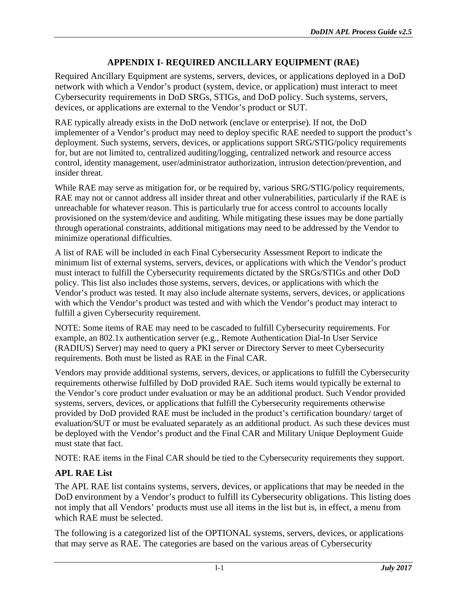## **APPENDIX I- REQUIRED ANCILLARY EQUIPMENT (RAE)**

<span id="page-34-0"></span>Required Ancillary Equipment are systems, servers, devices, or applications deployed in a DoD network with which a Vendor's product (system, device, or application) must interact to meet Cybersecurity requirements in DoD SRGs, STIGs, and DoD policy. Such systems, servers, devices, or applications are external to the Vendor's product or SUT.

RAE typically already exists in the DoD network (enclave or enterprise). If not, the DoD implementer of a Vendor's product may need to deploy specific RAE needed to support the product's deployment. Such systems, servers, devices, or applications support SRG/STIG/policy requirements for, but are not limited to, centralized auditing/logging, centralized network and resource access control, identity management, user/administrator authorization, intrusion detection/prevention, and insider threat.

While RAE may serve as mitigation for, or be required by, various SRG/STIG/policy requirements, RAE may not or cannot address all insider threat and other vulnerabilities, particularly if the RAE is unreachable for whatever reason. This is particularly true for access control to accounts locally provisioned on the system/device and auditing. While mitigating these issues may be done partially through operational constraints, additional mitigations may need to be addressed by the Vendor to minimize operational difficulties.

A list of RAE will be included in each Final Cybersecurity Assessment Report to indicate the minimum list of external systems, servers, devices, or applications with which the Vendor's product must interact to fulfill the Cybersecurity requirements dictated by the SRGs/STIGs and other DoD policy. This list also includes those systems, servers, devices, or applications with which the Vendor's product was tested. It may also include alternate systems, servers, devices, or applications with which the Vendor's product was tested and with which the Vendor's product may interact to fulfill a given Cybersecurity requirement.

NOTE: Some items of RAE may need to be cascaded to fulfill Cybersecurity requirements. For example, an 802.1x authentication server (e.g., Remote Authentication Dial-In User Service (RADIUS) Server) may need to query a PKI server or Directory Server to meet Cybersecurity requirements. Both must be listed as RAE in the Final CAR.

Vendors may provide additional systems, servers, devices, or applications to fulfill the Cybersecurity requirements otherwise fulfilled by DoD provided RAE. Such items would typically be external to the Vendor's core product under evaluation or may be an additional product. Such Vendor provided systems, servers, devices, or applications that fulfill the Cybersecurity requirements otherwise provided by DoD provided RAE must be included in the product's certification boundary/ target of evaluation/SUT or must be evaluated separately as an additional product. As such these devices must be deployed with the Vendor's product and the Final CAR and Military Unique Deployment Guide must state that fact.

NOTE: RAE items in the Final CAR should be tied to the Cybersecurity requirements they support.

#### <span id="page-34-1"></span>**APL RAE List**

The APL RAE list contains systems, servers, devices, or applications that may be needed in the DoD environment by a Vendor's product to fulfill its Cybersecurity obligations. This listing does not imply that all Vendors' products must use all items in the list but is, in effect, a menu from which RAE must be selected.

The following is a categorized list of the OPTIONAL systems, servers, devices, or applications that may serve as RAE. The categories are based on the various areas of Cybersecurity